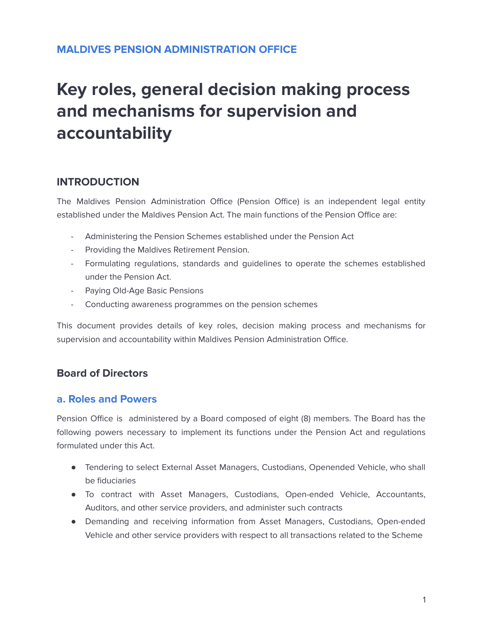# **MALDIVES PENSION ADMINISTRATION OFFICE**

# **Key roles, general decision making process and mechanisms for supervision and accountability**

# **INTRODUCTION**

The Maldives Pension Administration Office (Pension Office) is an independent legal entity established under the Maldives Pension Act. The main functions of the Pension Office are:

- Administering the Pension Schemes established under the Pension Act
- Providing the Maldives Retirement Pension.
- Formulating regulations, standards and guidelines to operate the schemes established under the Pension Act.
- Paying Old-Age Basic Pensions
- Conducting awareness programmes on the pension schemes

This document provides details of key roles, decision making process and mechanisms for supervision and accountability within Maldives Pension Administration Office.

#### **Board of Directors**

#### **a. Roles and Powers**

Pension Office is administered by a Board composed of eight (8) members. The Board has the following powers necessary to implement its functions under the Pension Act and regulations formulated under this Act.

- Tendering to select External Asset Managers, Custodians, Openended Vehicle, who shall be fiduciaries
- To contract with Asset Managers, Custodians, Open-ended Vehicle, Accountants, Auditors, and other service providers, and administer such contracts
- Demanding and receiving information from Asset Managers, Custodians, Open-ended Vehicle and other service providers with respect to all transactions related to the Scheme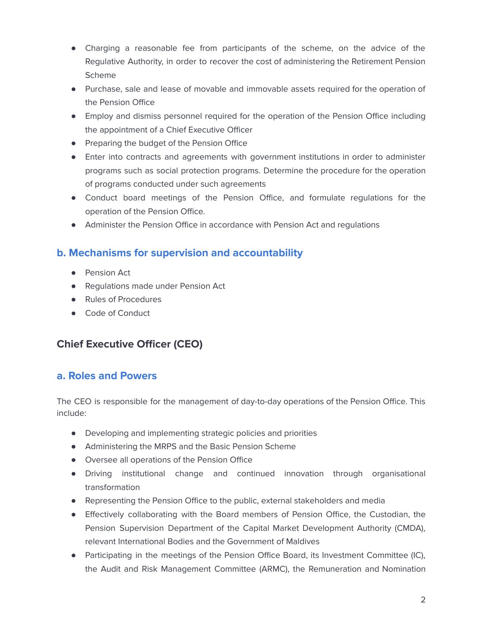- Charging a reasonable fee from participants of the scheme, on the advice of the Regulative Authority, in order to recover the cost of administering the Retirement Pension Scheme
- Purchase, sale and lease of movable and immovable assets required for the operation of the Pension Office
- Employ and dismiss personnel required for the operation of the Pension Office including the appointment of a Chief Executive Officer
- Preparing the budget of the Pension Office
- Enter into contracts and agreements with government institutions in order to administer programs such as social protection programs. Determine the procedure for the operation of programs conducted under such agreements
- Conduct board meetings of the Pension Office, and formulate regulations for the operation of the Pension Office.
- Administer the Pension Office in accordance with Pension Act and regulations

# **b. Mechanisms for supervision and accountability**

- Pension Act
- Regulations made under Pension Act
- Rules of Procedures
- Code of Conduct

# **Chief Executive Officer (CEO)**

# **a. Roles and Powers**

The CEO is responsible for the management of day-to-day operations of the Pension Office. This include:

- Developing and implementing strategic policies and priorities
- Administering the MRPS and the Basic Pension Scheme
- Oversee all operations of the Pension Office
- Driving institutional change and continued innovation through organisational transformation
- Representing the Pension Office to the public, external stakeholders and media
- Effectively collaborating with the Board members of Pension Office, the Custodian, the Pension Supervision Department of the Capital Market Development Authority (CMDA), relevant International Bodies and the Government of Maldives
- Participating in the meetings of the Pension Office Board, its Investment Committee (IC), the Audit and Risk Management Committee (ARMC), the Remuneration and Nomination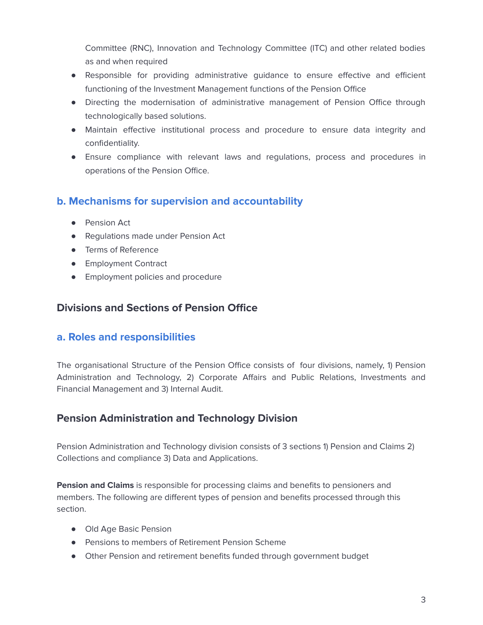Committee (RNC), Innovation and Technology Committee (ITC) and other related bodies as and when required

- Responsible for providing administrative guidance to ensure effective and efficient functioning of the Investment Management functions of the Pension Office
- Directing the modernisation of administrative management of Pension Office through technologically based solutions.
- Maintain effective institutional process and procedure to ensure data integrity and confidentiality.
- Ensure compliance with relevant laws and regulations, process and procedures in operations of the Pension Office.

# **b. Mechanisms for supervision and accountability**

- Pension Act
- Regulations made under Pension Act
- Terms of Reference
- Employment Contract
- Employment policies and procedure

#### **Divisions and Sections of Pension Office**

#### **a. Roles and responsibilities**

The organisational Structure of the Pension Office consists of four divisions, namely, 1) Pension Administration and Technology, 2) Corporate Affairs and Public Relations, Investments and Financial Management and 3) Internal Audit.

# **Pension Administration and Technology Division**

Pension Administration and Technology division consists of 3 sections 1) Pension and Claims 2) Collections and compliance 3) Data and Applications.

**Pension and Claims** is responsible for processing claims and benefits to pensioners and members. The following are different types of pension and benefits processed through this section.

- Old Age Basic Pension
- Pensions to members of Retirement Pension Scheme
- Other Pension and retirement benefits funded through government budget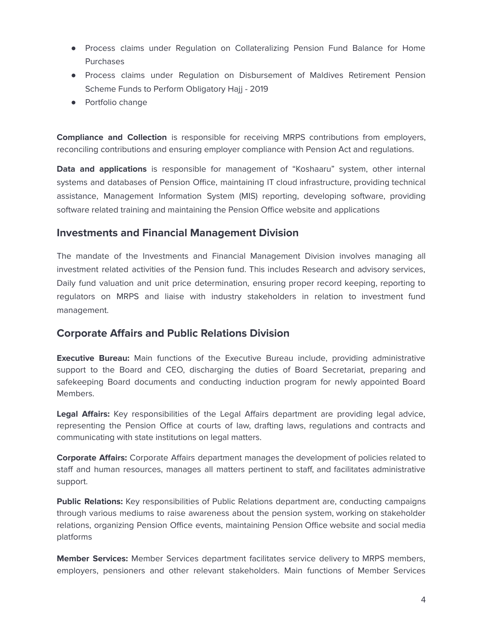- Process claims under Regulation on Collateralizing Pension Fund Balance for Home Purchases
- Process claims under Regulation on Disbursement of Maldives Retirement Pension Scheme Funds to Perform Obligatory Hajj - 2019
- Portfolio change

**Compliance and Collection** is responsible for receiving MRPS contributions from employers, reconciling contributions and ensuring employer compliance with Pension Act and regulations.

**Data and applications** is responsible for management of "Koshaaru" system, other internal systems and databases of Pension Office, maintaining IT cloud infrastructure, providing technical assistance, Management Information System (MIS) reporting, developing software, providing software related training and maintaining the Pension Office website and applications

#### **Investments and Financial Management Division**

The mandate of the Investments and Financial Management Division involves managing all investment related activities of the Pension fund. This includes Research and advisory services, Daily fund valuation and unit price determination, ensuring proper record keeping, reporting to regulators on MRPS and liaise with industry stakeholders in relation to investment fund management.

#### **Corporate Affairs and Public Relations Division**

**Executive Bureau:** Main functions of the Executive Bureau include, providing administrative support to the Board and CEO, discharging the duties of Board Secretariat, preparing and safekeeping Board documents and conducting induction program for newly appointed Board Members.

**Legal Affairs:** Key responsibilities of the Legal Affairs department are providing legal advice, representing the Pension Office at courts of law, drafting laws, regulations and contracts and communicating with state institutions on legal matters.

**Corporate Affairs:** Corporate Affairs department manages the development of policies related to staff and human resources, manages all matters pertinent to staff, and facilitates administrative support.

**Public Relations:** Key responsibilities of Public Relations department are, conducting campaigns through various mediums to raise awareness about the pension system, working on stakeholder relations, organizing Pension Office events, maintaining Pension Office website and social media platforms

**Member Services:** Member Services department facilitates service delivery to MRPS members, employers, pensioners and other relevant stakeholders. Main functions of Member Services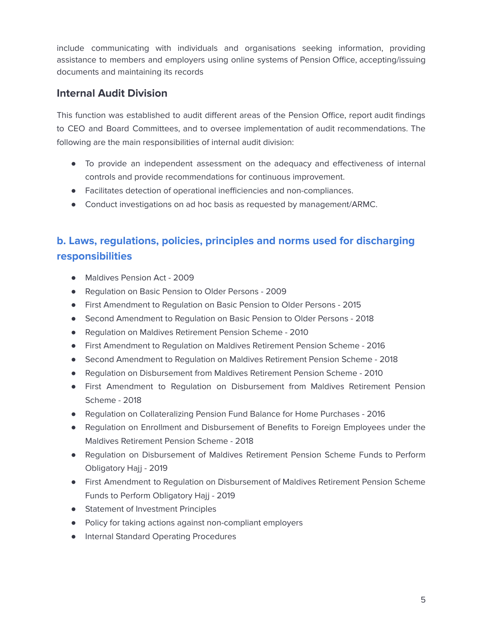include communicating with individuals and organisations seeking information, providing assistance to members and employers using online systems of Pension Office, accepting/issuing documents and maintaining its records

# **Internal Audit Division**

This function was established to audit different areas of the Pension Office, report audit findings to CEO and Board Committees, and to oversee implementation of audit recommendations. The following are the main responsibilities of internal audit division:

- To provide an independent assessment on the adequacy and effectiveness of internal controls and provide recommendations for continuous improvement.
- Facilitates detection of operational inefficiencies and non-compliances.
- Conduct investigations on ad hoc basis as requested by management/ARMC.

# **b. Laws, regulations, policies, principles and norms used for discharging responsibilities**

- Maldives Pension Act 2009
- Regulation on Basic Pension to Older Persons 2009
- First Amendment to Regulation on Basic Pension to Older Persons 2015
- Second Amendment to Regulation on Basic Pension to Older Persons 2018
- Regulation on Maldives Retirement Pension Scheme 2010
- First Amendment to Regulation on Maldives Retirement Pension Scheme 2016
- Second Amendment to Regulation on Maldives Retirement Pension Scheme 2018
- Regulation on Disbursement from Maldives Retirement Pension Scheme 2010
- First Amendment to Regulation on Disbursement from Maldives Retirement Pension Scheme - 2018
- Regulation on Collateralizing Pension Fund Balance for Home Purchases 2016
- Regulation on Enrollment and Disbursement of Benefits to Foreign Employees under the Maldives Retirement Pension Scheme - 2018
- Regulation on Disbursement of Maldives Retirement Pension Scheme Funds to Perform Obligatory Hajj - 2019
- First Amendment to Regulation on Disbursement of Maldives Retirement Pension Scheme Funds to Perform Obligatory Hajj - 2019
- Statement of Investment Principles
- Policy for taking actions against non-compliant employers
- Internal Standard Operating Procedures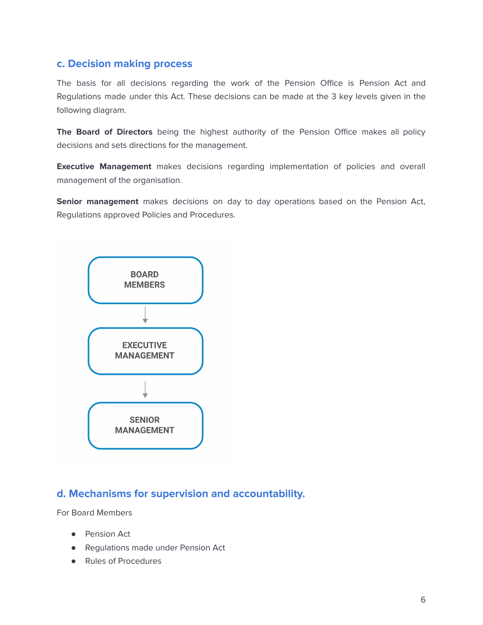#### **c. Decision making process**

The basis for all decisions regarding the work of the Pension Office is Pension Act and Regulations made under this Act. These decisions can be made at the 3 key levels given in the following diagram.

**The Board of Directors** being the highest authority of the Pension Office makes all policy decisions and sets directions for the management.

**Executive Management** makes decisions regarding implementation of policies and overall management of the organisation.

**Senior management** makes decisions on day to day operations based on the Pension Act, Regulations approved Policies and Procedures.



#### **d. Mechanisms for supervision and accountability.**

For Board Members

- Pension Act
- Regulations made under Pension Act
- Rules of Procedures